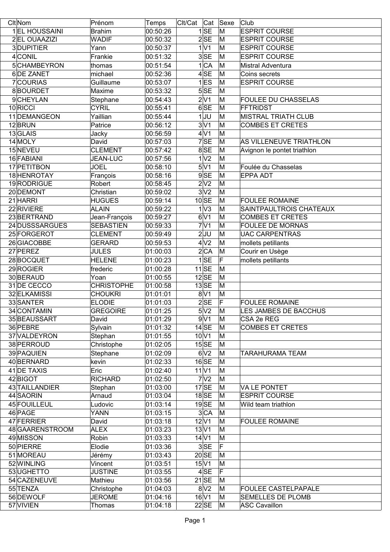| Cit <sub>Nom</sub> | Prénom            | Temps    | Clt/Cat Cat Sexe |                      |    | Club                        |
|--------------------|-------------------|----------|------------------|----------------------|----|-----------------------------|
| 1 EL HOUSSAINI     | <b>Brahim</b>     | 00:50:26 |                  | 1SE                  | M  | <b>ESPRIT COURSE</b>        |
| 2 EL OUAAZIZI      | <b>WADIF</b>      | 00:50:32 |                  | 2SE                  | M  | <b>ESPRIT COURSE</b>        |
| 3DUPITIER          | Yann              | 00:50:37 |                  | 1 V1                 | M  | <b>ESPRIT COURSE</b>        |
| 4 CONIL            | Frankie           | 00:51:32 |                  | 3SE                  | M  | <b>ESPRIT COURSE</b>        |
| 5CHAMBEYRON        | thomas            | 00:51:54 |                  | 1 CA                 | M  | <b>Mistral Adventura</b>    |
| 6 DE ZANET         | michael           | 00:52:36 |                  | 4SE                  | M  | Coins secrets               |
| 7COURIAS           | Guillaume         | 00:53:07 |                  | $1$ <sub>ES</sub>    | M  | <b>ESPRIT COURSE</b>        |
| 8BOURDET           | Maxime            | 00:53:32 |                  | 5SE                  | M  |                             |
| 9CHEYLAN           | Stephane          | 00:54:43 |                  | 2 V1                 | M  | <b>FOULEE DU CHASSELAS</b>  |
| 10 RICCI           | <b>CYRIL</b>      | 00:55:41 |                  | 6SE                  | M  | FFTRIDST                    |
| 11 DEMANGEON       | Yaillian          | 00:55:44 |                  | $1$ JU               | M  | <b>MISTRAL TRIATH CLUB</b>  |
| 12BRUN             | Patrice           | 00:56:12 |                  | 3 V1                 | M  | <b>COMBES ET CRETES</b>     |
| 13GLAIS            | Jacky             | 00:56:59 |                  | 4 <sup>1</sup>       | M  |                             |
| 14 MOLY            | David             | 00:57:03 |                  | 7SE                  | M  | AS VILLENEUVE TRIATHLON     |
| 15NEVEU            | <b>CLEMENT</b>    | 00:57:42 |                  | 8 SE                 | M  | Avignon le pontet triathlon |
| 16 FABIANI         | <b>JEAN-LUC</b>   | 00:57:56 |                  | 1 <sup>2</sup>       | M  |                             |
| 17 PETITBON        | <b>JOEL</b>       | 00:58:10 |                  | 5 V1                 | M  | Foulée du Chasselas         |
| 18 HENROTAY        | François          | 00:58:16 |                  | 9SE                  | İΜ | <b>EPPA ADT</b>             |
| 19RODRIGUE         | Robert            | 00:58:45 |                  | 2 V2                 | M  |                             |
| 20 DEMONT          | Christian         | 00:59:02 |                  | 3 <sup>2</sup>       | M  |                             |
| 21 HARRI           | <b>HUGUES</b>     | 00:59:14 |                  | $10$ SE              | M  | <b>FOULEE ROMAINE</b>       |
| 22 RIVIERE         | ALAIN             | 00:59:22 |                  | 1 <sup>1</sup>       | M  | SAINTPAULTROIS CHATEAUX     |
| 23BERTRAND         | Jean-François     | 00:59:27 |                  | 6 <sup>1</sup>       | M  | <b>COMBES ET CRETES</b>     |
| 24 DUSSSARGUES     | <b>SEBASTIEN</b>  | 00:59:33 |                  | 7 <sup>1</sup>       | M  | <b>FOULEE DE MORNAS</b>     |
| 25 FORGEROT        | <b>CLEMENT</b>    | 00:59:49 |                  | $\overline{2}$ UU    | M  | <b>UAC CARPENTRAS</b>       |
| 26 GIACOBBE        | <b>GERARD</b>     | 00:59:53 |                  | 4 <sup>2</sup>       | M  | mollets petillants          |
| 27 PEREZ           | <b>JULES</b>      | 01:00:03 |                  | 2 CA                 | M  | Courir en Usège             |
| 28BOCQUET          | <b>HELENE</b>     | 01:00:23 |                  | 1 SE                 | F  | mollets petillants          |
| 29 ROGIER          | frederic          | 01:00:28 |                  | $11$ SE              | M  |                             |
| 30BERAUD           | Yoan              | 01:00:55 |                  | $12$ SE              | M  |                             |
| 31 DE CECCO        | <b>CHRISTOPHE</b> | 01:00:58 |                  | $13$ SE              | M  |                             |
| 32 ELKAMISSI       | <b>CHOUKRI</b>    | 01:01:01 |                  | 8 <sup>1</sup>       | M  |                             |
| 33 SANTER          | <b>ELODIE</b>     | 01:01:03 |                  | 2SE                  | F  | <b>FOULEE ROMAINE</b>       |
| 34 CONTAMIN        | <b>GREGOIRE</b>   | 01:01:25 |                  | 5 V2                 | M  | LES JAMBES DE BACCHUS       |
| 35 BEAUSSART       | David             | 01:01:29 |                  | 9 <sup>1</sup>       | M  | CSA 2e REG                  |
| 36 PEBRE           | Sylvain           | 01:01:32 |                  | 14SE                 | M  | <b>COMBES ET CRETES</b>     |
| 37 VALDEYRON       | Stephan           | 01:01:55 |                  | 10 V1                | M  |                             |
| 38 PERROUD         | Christophe        | 01:02:05 |                  | 15 SE                | M  |                             |
| 39 PAQUIEN         | Stephane          | 01:02:09 |                  | 6 <sup>1</sup>       | M  | TARAHURAMA TEAM             |
| 40BERNARD          | kevin             | 01:02:33 |                  | 16 SE                | M  |                             |
| 41 DE TAXIS        | Eric              | 01:02:40 |                  | 11 V1                | M  |                             |
| 42 BIGOT           | <b>RICHARD</b>    | 01:02:50 |                  | 7 <sup>2</sup>       | M  |                             |
| 43 TAILLANDIER     | Stephan           | 01:03:00 |                  | $17$ SE              | M  | <b>VA LE PONTET</b>         |
| 44 SAORIN          | Arnaud            | 01:03:04 |                  | $18$ SE              | M  | <b>ESPRIT COURSE</b>        |
| 45 FOUILLEUL       | Ludovic           | 01:03:14 |                  | $19$ SE              | M  | Wild team triathlon         |
| 46 PAGE            | YANN              | 01:03:15 |                  | 3 CA                 | M  |                             |
| 47 FERRIER         | David             | 01:03:18 |                  | $12\vert\sqrt{1}$    | M  | <b>FOULEE ROMAINE</b>       |
| 48 GAARENSTROOM    | <b>ALEX</b>       | 01:03:23 |                  | 13 V1                | M  |                             |
| 49 MISSON          | Robin             | 01:03:33 |                  | $14$ $V1$            | M  |                             |
| 50 PIERRE          | Elodie            | 01:03:36 |                  | 3SE                  | ΙF |                             |
| 51 MOREAU          | Jérémy            | 01:03:43 |                  | 20 SE                | M  |                             |
| 52 WINLING         | Vincent           | 01:03:51 |                  | $15\vert\mathrm{V}1$ | M  |                             |
| 53UGHETTO          | <b>JUSTINE</b>    | 01:03:55 |                  | 4 SE                 | IF |                             |
| 54 CAZENEUVE       | Mathieu           | 01:03:56 |                  | $21$ SE              | M  |                             |
| 55 TENZA           | Christophe        | 01:04:03 |                  | 8 <sup>2</sup>       | M  | <b>FOULEE CASTELPAPALE</b>  |
| 56 DEWOLF          | <b>JEROME</b>     | 01:04:16 |                  | 16 V1                | M  | <b>SEMELLES DE PLOMB</b>    |
| 57 VIVIEN          | <b>Thomas</b>     | 01:04:18 |                  | $22$ SE              | M  | ASC Cavaillon               |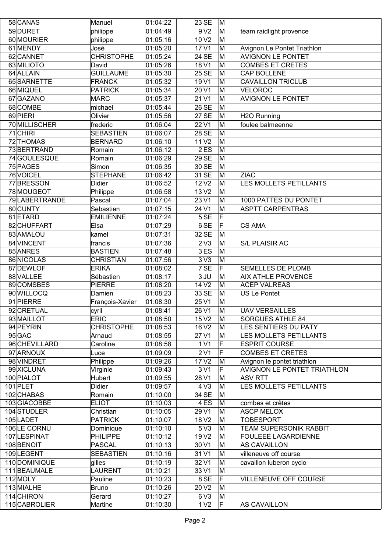| 58 CANAS                  | Manuel               | 01:04:22             | $23$ SE                   | M      |                                                      |
|---------------------------|----------------------|----------------------|---------------------------|--------|------------------------------------------------------|
| 59 DURET                  | philippe             | 01:04:49             | 9 <sub>1</sub>            | M      | team raidlight provence                              |
| 60 MOURIER                | philippe             | 01:05:16             | 10 <sub>V2</sub>          | M      |                                                      |
| 61 MENDY                  | José                 | 01:05:20             | $17$ V1                   | M      | Avignon Le Pontet Triathlon                          |
| 62 CANNET                 | <b>CHRISTOPHE</b>    | 01:05:24             | $24$ SE                   | M      | <b>AVIGNON LE PONTET</b>                             |
| 63 MILIOTO                | David                | 01:05:26             | 18 <sup>V</sup> 1         | M      | <b>COMBES ET CRETES</b>                              |
| 64 ALLAIN                 | <b>GUILLAUME</b>     | 01:05:30             | 25SE                      | M      | CAP BOLLENE                                          |
| 65 SARNETTE               | FRANCK               | 01:05:32             | 19 <sup>1</sup>           | M      | <b>CAVAILLON TRICLUB</b>                             |
| 66 MIQUEL                 | <b>PATRICK</b>       | 01:05:34             | $20\vert\sqrt{1}$         | M      | <b>VELOROC</b>                                       |
| 67 GAZANO                 | <b>MARC</b>          | 01:05:37             | $21$ $V1$                 | M      | <b>AVIGNON LE PONTET</b>                             |
| 68 COMBE                  | michael              | 01:05:44             | $26$ SE                   | M      |                                                      |
| 69 PIERI                  | Olivier              | 01:05:56             | $27$ SE                   | M      | H2O Running                                          |
| 70 MILLISCHER             | frederic             | 01:06:04             | 22 V1                     | M      | foulee balmeenne                                     |
| $71$ CHIRI                | <b>SEBASTIEN</b>     | 01:06:07             | $28$ SE                   | M      |                                                      |
| 72 THOMAS                 | <b>BERNARD</b>       | 01:06:10             | 11 <sup>1</sup>           | M      |                                                      |
| 73BERTRAND                | Romain               | 01:06:12             | 2ES                       | M      |                                                      |
| 74 GOULESQUE              | Romain               | 01:06:29             | $29$ SE                   | M      |                                                      |
| 75 PAGES                  | Simon                | 01:06:35             | 30 SE                     | M      |                                                      |
| 76 VOICEL                 | <b>STEPHANE</b>      | 01:06:42             | $31$ SE                   | M      | <b>ZIAC</b>                                          |
| 77BRESSON                 | <b>Didier</b>        | 01:06:52             | $12$ $V2$                 | M      | <b>LES MOLLETS PETILLANTS</b>                        |
| 78 MOUGEOT                | Philippe             | 01:06:58             | 13 <sub>V2</sub>          | M      |                                                      |
| 79 LABERTRANDE            | Pascal               | 01:07:04             | 23 V1                     | M      | 1000 PATTES DU PONTET                                |
| 80 CUNTY                  | Sebastien            | 01:07:15             | $24$ V1                   | M      | <b>ASPTT CARPENTRAS</b>                              |
| 81 ETARD                  | <b>EMILIENNE</b>     | 01:07:24             | 5SE                       | lF.    |                                                      |
| 82 CHUFFART               | Elsa                 | 01:07:29             | 6 SE                      | F      | <b>CS AMA</b>                                        |
| 83 AMALOU                 | kamel                | 01:07:31             | $32$ SE                   | M      |                                                      |
| 84 VINCENT                | francis              | 01:07:36             | 2 <sup>N</sup> 3          | M      | <b>S/L PLAISIR AC</b>                                |
| 85 ANRES                  | BASTIEN              | 01:07:48             | $3$ ES                    | M      |                                                      |
| 86 NICOLAS                | <b>CHRISTIAN</b>     | 01:07:56             | 3 <sup>2</sup>            | M      |                                                      |
| 87 DEWLOF                 | <b>ERIKA</b>         | 01:08:02             | 7SE                       | F      | <b>SEMELLES DE PLOMB</b>                             |
| 88 VALLEE                 | Sébastien            |                      | 3JU                       | M      | <b>AIX ATHLE PROVENCE</b>                            |
| 89 COMSBES                | <b>PIERRE</b>        | 01:08:17<br>01:08:20 | 14 <sup>2</sup>           | M      | <b>ACEP VALREAS</b>                                  |
| 90 WILLOCQ                | Damien               | 01:08:23             | $33$ SE                   | M      | <b>US Le Pontet</b>                                  |
| 91 PIERRE                 |                      | 01:08:30             | $25\vert\sqrt{1}$         | M      |                                                      |
| 92 CRETUAL                | François-Xavier      |                      |                           | M      |                                                      |
| 93 MAILLOT                | cyril<br><b>ERIC</b> | 01:08:41<br>01:08:50 | 26 V1<br>15 <sub>VI</sub> | M      | <b>UAV VERSAILLES</b><br><b>SORGUES ATHLE 84</b>     |
| 94 PEYRIN                 | <b>CHRISTOPHE</b>    | 01:08:53             | 16 <sup>2</sup>           | M      | LES SENTIERS DU PATY                                 |
|                           |                      |                      | $27$ $V1$                 | M      | LES MOLLETS PETILLANTS                               |
| $95$ GAC<br>96 CHEVILLARD | Arnaud<br>Caroline   | 01:08:55<br>01:08:58 | 1 V1                      | F      | <b>ESPRIT COURSE</b>                                 |
|                           |                      |                      | 2 V1                      | F      | <b>COMBES ET CRETES</b>                              |
| 97 ARNOUX                 | Luce<br>Philippe     | 01:09:09<br>01:09:26 | 17 <sub>N2</sub>          |        |                                                      |
| 98 VINDRET                |                      |                      |                           | M      | Avignon le pontet triathlon                          |
| 99 XICLUNA                | Virginie             | 01:09:43<br>01:09:55 | 3 V1<br>28 V1             | F<br>M | <b>AVIGNON LE PONTET TRIATHLON</b><br><b>ASV RTT</b> |
| 100 PIALOT                | Hubert               |                      |                           |        |                                                      |
| $101$ PLET                | <b>Didier</b>        | 01:09:57             | 4 <sup>1</sup>            | M      | LES MOLLETS PETILLANTS                               |
| 102 CHABAS                | Romain               | 01:10:00             | $34$ SE                   | M      |                                                      |
| 103GIACOBBE               | <b>ELIOT</b>         | 01:10:03             | $4$ ES                    | M      | combes et crêtes                                     |
| 104 STUDLER               | Christian            | 01:10:05             | 29 V1                     | M      | <b>ASCP MELOX</b>                                    |
| 105 LADET                 | <b>PATRICK</b>       | 01:10:07             | 18 <sup>2</sup>           | M      | <b>TOBESPORT</b>                                     |
| 106LE CORNU               | Dominique            | 01:10:10             | 5V3                       | M      | <b>TEAM SUPERSONIK RABBIT</b>                        |
| 107 LESPINAT              | <b>PHILIPPE</b>      | 01:10:12             | 19 <sub>V2</sub>          | M      | <b>FOULEEE LAGARDIENNE</b>                           |
| 108 BENOIT                | <b>PASCAL</b>        | 01:10:13             | $30\vert\mathrm{V}1$      | M      | <b>AS CAVAILLON</b>                                  |
| 109LEGENT                 | <b>SEBASTIEN</b>     | 01:10:16             | 31 V1                     | M      | villeneuve off course                                |
| 110DOMINIQUE              | gilles               | 01:10:19             | 32 V1                     | M      | cavaillon luberon cyclo                              |
| 111 BEAUMALE              | LAURENT              | 01:10:21             | 33 V1                     | M      |                                                      |
| 112 MOLY                  | Pauline              | 01:10:23             | 8 SE                      | F      | VILLENEUVE OFF COURSE                                |
| 113 MIALHE                | <b>Bruno</b>         | 01:10:26             | $20\text{V}2$             | M      |                                                      |
| 114 CHIRON                | Gerard               | 01:10:27             | 6V3                       | M      |                                                      |
| 115 CABROLIER             | Martine              | 01:10:30             | 1 <sup>1</sup>            | ΙF     | <b>AS CAVAILLON</b>                                  |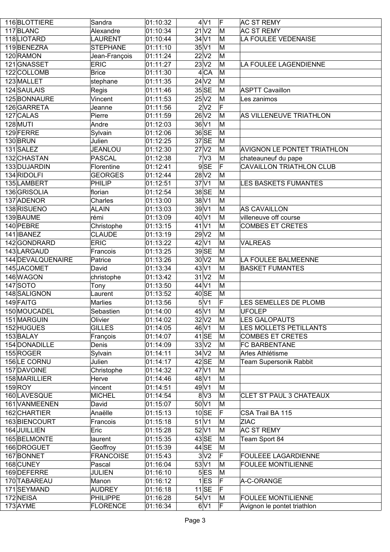| 116BLOTTIERE      | Sandra           | 01:10:32              | 4 <sup>1</sup>       | F  | <b>AC ST REMY</b>                  |
|-------------------|------------------|-----------------------|----------------------|----|------------------------------------|
| 117BLANC          | Alexandre        | 01:10:34              | 21 <sup>1</sup>      | M  | <b>AC ST REMY</b>                  |
| 118LIOTARD        | <b>LAURENT</b>   | 01:10:44              | $34$ V1              | M  | LA FOULEE VEDENAISE                |
| 119BENEZRA        | <b>STEPHANE</b>  | 01:11:10              | $35\vert\sqrt{1}$    | M  |                                    |
| 120 RAMON         | Jean-François    | $\overline{0}1:11:24$ | 22 V2                | M  |                                    |
| 121 GNASSET       | <b>ERIC</b>      | 01:11:27              | 23 V2                | M  | LA FOULEE LAGENDIENNE              |
| 122 COLLOMB       | <b>Brice</b>     | 01:11:30              | 4 CA                 | M  |                                    |
| 123 MALLET        | stephane         | 01:11:35              | 24 <sub>V2</sub>     | M  |                                    |
| 124 SAULAIS       | Regis            | 01:11:46              | $35$ SE              | M  | <b>ASPTT Cavaillon</b>             |
| 125 BONNAURE      | Vincent          | 01:11:53              | $25\sqrt{2}$         | M  | Les zanimos                        |
| 126 GARRETA       | Jeanne           | 01:11:56              | 2 <sub>2</sub>       | F  |                                    |
| 127 CALAS         | Pierre           | 01:11:59              | $26\sqrt{2}$         | M  | AS VILLENEUVE TRIATHLON            |
| 128 MUTI          | Andre            | 01:12:03              | 36 V1                | M  |                                    |
| 129 FERRE         |                  |                       | 36 SE                | M  |                                    |
|                   | Sylvain          | 01:12:06              | $37$ SE              |    |                                    |
| 130BRUN           | Julien           | 01:12:25              |                      | M  |                                    |
| 131 SALEZ         | <b>JEANLOU</b>   | 01:12:30              | 27 <sup>1</sup>      | M  | <b>AVIGNON LE PONTET TRIATHLON</b> |
| 132 CHASTAN       | <b>PASCAL</b>    | 01:12:38              | 7 <sup>1</sup>       | M  | chateauneuf du pape                |
| 133 DUJARDIN      | Florentine       | 01:12:41              | 9SE                  | F  | <b>CAVAILLON TRIATHLON CLUB</b>    |
| 134 RIDOLFI       | <b>GEORGES</b>   | 01:12:44              | 28 <sup>2</sup>      | İΜ |                                    |
| 135 LAMBERT       | PHILIP           | 01:12:51              | $37\overline{V1}$    | M  | <b>LES BASKETS FUMANTES</b>        |
| 136 GRISOLIA      | florian          | 01:12:54              | 38 SE                | M  |                                    |
| 137 ADENOR        | Charles          | 01:13:00              | 38 <sup>1</sup>      | M  |                                    |
| 138 RISUENO       | <b>ALAIN</b>     | $\overline{0}1:13:03$ | 39V1                 | M  | <b>AS CAVAILLON</b>                |
| 139 BAUME         | rémi             | 01:13:09              | $40$ V1              | M  | villeneuve off course              |
| 140 PEBRE         | Christophe       | 01:13:15              | $41$ V1              | M  | <b>COMBES ET CRETES</b>            |
| 141 IBANEZ        | <b>CLAUDE</b>    | 01:13:19              | 29V2                 | M  |                                    |
| 142 GONDRARD      | <b>ERIC</b>      | 01:13:22              | $42$ V1              | M  | <b>VALREAS</b>                     |
| 143 LARGAUD       | Francois         | 01:13:25              | 39SE                 | M  |                                    |
| 144 DEVALQUENAIRE | Patrice          | 01:13:26              | 30V2                 | M  | LA FOULEE BALMEENNE                |
|                   |                  |                       |                      |    |                                    |
| 145JACOMET        | David            | 01:13:34              | 43 V1                | M  | <b>BASKET FUMANTES</b>             |
| 146 WAGON         | christophe       | 01:13:42              | 31 <sup>2</sup>      | M  |                                    |
| 147 SOTO          |                  | 01:13:50              | $44$ V1              | M  |                                    |
| 148 SALIGNON      | Tony<br>Laurent  | 01:13:52              | 40 SE                | M  |                                    |
|                   | <b>Marlies</b>   |                       |                      | F  | LES SEMELLES DE PLOMB              |
| 149 FAITG         |                  | 01:13:56              | 5 <sup>1</sup>       |    |                                    |
| 150 MOUCADEL      | Sebastien        | 01:14:00              | 45 V1                | M  | <b>UFOLEP</b>                      |
| 151 MARGUIN       | Olivier          | 01:14:02              | $32\sqrt{2}$         | M  | <b>LES GALOPAUTS</b>               |
| 152 HUGUES        | <b>GILLES</b>    | 01:14:05              | 46 V1                | M  | LES MOLLETS PETILLANTS             |
| 153 BALAY         | François         | 01:14:07              | $41$ SE              | M  | <b>COMBES ET CRETES</b>            |
| 154 DONADILLE     | Denis            | 01:14:09              | 33 V2                | M  | <b>FC BARBENTANE</b>               |
| 155 ROGER         | Sylvain          | 01:14:11              | 34 <sub>V2</sub>     | M  | Arles Athlétisme                   |
| 156LE CORNU       | Julien           | 01:14:17              | $42$ SE              | M  | Team Supersonik Rabbit             |
| 157 DAVOINE       | Christophe       | 01:14:32              | $47$ V1              | M  |                                    |
| 158 MARILLIER     | Herve            | 01:14:46              | $48$ V1              | M  |                                    |
| $159$ ROY         | vincent          | 01:14:51              | $49$ V1              | M  |                                    |
| 160 LAVESQUE      | <b>MICHEL</b>    | 01:14:54              | 8 <sup>2</sup>       | M  | CLET ST PAUL 3 CHATEAUX            |
| 161 VANMEENEN     | David            | 01:15:07              | $50\vert\mathrm{V1}$ | M  |                                    |
| 162 CHARTIER      | Anaëlle          | 01:15:13              | 10 SE                | F  | CSA Trail BA 115                   |
| 163 BIENCOURT     | Francois         | 01:15:18              | $51$ V1              | M  | <b>ZIAC</b>                        |
| 164 JUILLIEN      | Eric             | 01:15:28              | 52 V1                | M  | <b>AC ST REMY</b>                  |
| 165 BELMONTE      | laurent          | 01:15:35              | $43$ SE              | M  | Team Sport 84                      |
| 166 DROGUET       | Geoffroy         | 01:15:39              | $44$ SE              | M  |                                    |
| 167BONNET         | <b>FRANCOISE</b> | 01:15:43              | 3 <sup>2</sup>       | F  | <b>FOULEEE LAGARDIENNE</b>         |
| 168 CUNEY         | Pascal           | 01:16:04              | 53 V1                | M  | <b>FOULEE MONTILIENNE</b>          |
| 169 DEFERRE       | <b>JULIEN</b>    | 01:16:10              | 5 ES                 | M  |                                    |
| 170 TABAREAU      | Manon            | 01:16:12              | $1$ <b>ES</b>        | F  | A-C-ORANGE                         |
| 171SEYMAND        | <b>AUDREY</b>    | 01:16:18              | $11$ SE              | F  |                                    |
| 172 NEISA         | <b>PHILIPPE</b>  | 01:16:28              | $54$ V1              | M  | <b>FOULEE MONTILIENNE</b>          |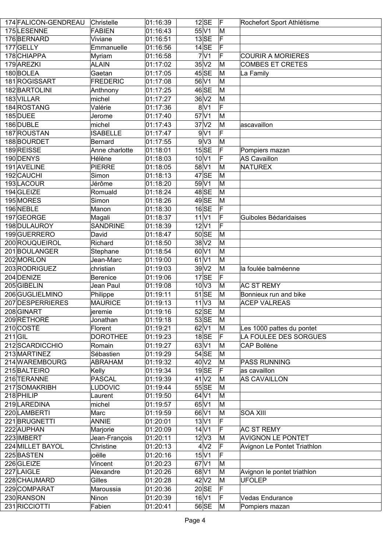|           | 174 FALICON-GENDREAU | Christelle      | 01:16:39              | $12$ SE                  | ΙF | Rochefort Sport Athlétisme  |
|-----------|----------------------|-----------------|-----------------------|--------------------------|----|-----------------------------|
|           | 175LESENNE           | FABIEN          | 01:16:43              | 55 V1                    | M  |                             |
|           | 176BERNARD           | Viviane         | 01:16:51              | $13$ SE                  | F  |                             |
|           | 177 GELLY            | Emmanuelle      | 01:16:56              | $14$ SE                  | F  |                             |
|           | 178 CHIAPPA          | Myriam          | 01:16:58              | 7 <sup>1</sup>           | F  | <b>COURIR A MORIERES</b>    |
|           | 179 AREZKI           | <b>ALAIN</b>    | $\overline{01:17:02}$ | 35V2                     | M  | <b>COMBES ET CRETES</b>     |
|           | 180BOLEA             | Gaetan          | 01:17:05              | $45$ SE                  | M  | La Family                   |
|           | 181 ROGISSART        | FREDERIC        | 01:17:08              | 56 V1                    | M  |                             |
|           | 182 BARTOLINI        | Anthnony        | 01:17:25              | 46 SE                    | M  |                             |
|           | 183 VILLAR           | michel          | 01:17:27              | 36 <sub>V2</sub>         | M  |                             |
|           | 184 ROSTANG          | Valérie         | 01:17:36              | 8 <sup>1</sup>           | F  |                             |
|           | 185 DUEE             |                 | 01:17:40              | $57$ $V1$                | M  |                             |
|           | 186 DUBLE            | Jerome          |                       | 37 <sub>Y</sub>          | M  |                             |
|           |                      | michel          | 01:17:43              | 9V1                      | F  | ascavaillon                 |
|           | 187 ROUSTAN          | <b>ISABELLE</b> | 01:17:47              |                          |    |                             |
|           | 188BOURDET           | Bernard         | 01:17:55              | 9 <sub>V3</sub>          | M  |                             |
|           | 189REISSE            | Anne charlotte  | 01:18:01              | $15$ SE                  | F  | Pompiers mazan              |
|           | 190 DENYS            | Hélène          | $\overline{0}1:18:03$ | $10\overline{\text{V1}}$ | F  | AS Cavaillon                |
|           | 191 AVELINE          | PIERRE          | 01:18:05              | 58 V1                    | M  | NATUREX                     |
|           | 192 CAUCHI           | Simon           | 01:18:13              | 47SE                     | M  |                             |
|           | 193LACOUR            | Jérôme          | 01:18:20              | 59 V1                    | M  |                             |
|           | 194 GLEIZE           | Romuald         | 01:18:24              | 48SE                     | M  |                             |
|           | 195 MORES            | Simon           | 01:18:26              | $49$ SE                  | M  |                             |
|           | 196NEBLE             | Manon           | $\overline{0}1:18:30$ | $16$ SE                  | F  |                             |
|           | 197GEORGE            | Magali          | 01:18:37              | $11\overline{\text{V1}}$ | F  | Guiboles Bédaridaises       |
|           | 198 DULAUROY         | <b>SANDRINE</b> | 01:18:39              | $12\vert\sqrt{1}$        | F  |                             |
|           | 199GUERRERO          | David           | 01:18:47              | 50SE                     | M  |                             |
|           | 200 ROUQUEIROL       | Richard         | 01:18:50              | 38 <sup>2</sup>          | M  |                             |
|           | 201BOULANGER         | Stephane        | 01:18:54              | $60$ V1                  | M  |                             |
|           | 202 MORLON           | Jean-Marc       | 01:19:00              | $61$ V1                  | M  |                             |
|           | 203 RODRIGUEZ        | christian       | 01:19:03              | 39V2                     | M  | la foulée balméenne         |
|           | 204 DENIZE           | Berenice        | 01:19:06              | $17$ SE                  | F  |                             |
|           | 205GIBELIN           | Jean Paul       | 01:19:08              | 10 <sup>1</sup>          | M  | <b>AC ST REMY</b>           |
|           | 206 GUGLIELMINO      | Philippe        | 01:19:11              | $51$ SE                  | M  | Bonnieux run and bike       |
|           | 207 DESPERRIERES     | MAURICE         | 01:19:13              | 11 <sup>1</sup>          | M  | <b>ACEP VALREAS</b>         |
|           | 208 GINART           | jeremie         | 01:19:16              | $52$ SE                  | M  |                             |
|           | 209 RÉTHORÉ          | Jonathan        | 01:19:18              | $53$ SE                  | M  |                             |
|           | 210 COSTÉ            | Florent         | 01:19:21              | $62$ V1                  | M  | Les 1000 pattes du pontet   |
| $211$ GIL |                      | <b>DOROTHEE</b> | 01:19:23              | $18$ SE                  | F  | LA FOULEE DES SORGUES       |
|           | 212 SCARDICCHIO      | Romain          | 01:19:27              | 63 V1                    | M  | <b>CAP Bollène</b>          |
|           | 213 MARTINEZ         | Sébastien       | 01:19:29              | 54SE                     | M  |                             |
|           | 214 WAREMBOURG       | ABRAHAM         | 01:19:32              | 40V2                     | M  | <b>PASS RUNNING</b>         |
|           | 215 BALTEIRO         | Kelly           | 01:19:34              | $19$ SE                  | F  | as cavaillon                |
|           | 216 TERANNE          | PASCAL          | 01:19:39              | $41$ V <sub>2</sub>      | M  | AS CAVAILLON                |
|           | 217 SOMAKRIBH        | <b>LUDOVIC</b>  | 01:19:44              | 55 SE                    | M  |                             |
|           | 218 PHILIP           | Laurent         | 01:19:50              | $64$ V1                  | M  |                             |
|           | 219 LAREDINA         | michel          | 01:19:57              | 65 V1                    | M  |                             |
|           | 220 LAMBERTI         | Marc            | 01:19:59              | 66 V1                    | M  | SOA XIII                    |
|           | 221 BRUGNETTI        | ANNIE           | 01:20:01              | 13 V1                    | F  |                             |
|           | 222 AUPHAN           |                 |                       | $14$ V1                  | F  |                             |
|           |                      | Marjorie        | 01:20:09              |                          |    | <b>AC ST REMY</b>           |
|           | 223 IMBERT           | Jean-François   | 01:20:11              | $12\overline{\vee}3$     | M  | <b>AVIGNON LE PONTET</b>    |
|           | 224 MILLET BAYOL     | Christine       | 01:20:13              | 4 <sub>2</sub>           | F  | Avignon Le Pontet Triathlon |
|           | 225 BASTEN           | joëlle          | 01:20:16              | $15\vert\mathrm{V}1$     | F  |                             |
|           | 226 GLEIZE           | Vincent         | 01:20:23              | $67$ $V1$                | M  |                             |
|           | 227 LAIGLE           | Alexandre       | 01:20:26              | $68$ V1                  | M  | Avignon le pontet triathlon |
|           | 228 CHAUMARD         | Gilles          | 01:20:28              | $42$ V <sub>2</sub>      | M  | <b>UFOLEP</b>               |
|           | 229 COMPARAT         | Maroussia       | 01:20:36              | 20 SE                    | F  |                             |
|           | 230 RANSON           | Ninon           | 01:20:39              | 16 V1                    | F  | <b>Vedas Endurance</b>      |
|           | 231 RICCIOTTI        | Fabien          | 01:20:41              | 56 SE                    | M  | Pompiers mazan              |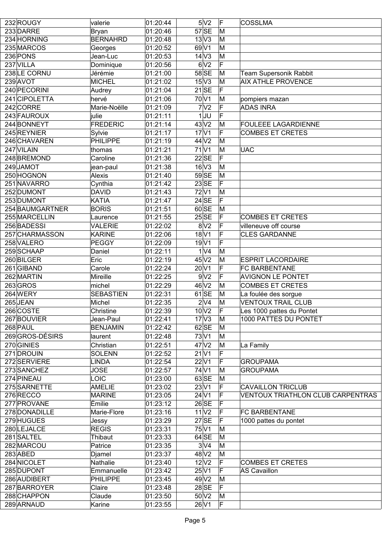| 232 ROUGY       | valerie          | 01:20:44               | 5 <sub>N2</sub>            | ΙF  | <b>COSSLMA</b>                    |
|-----------------|------------------|------------------------|----------------------------|-----|-----------------------------------|
| 233 DARRE       | <b>Bryan</b>     | 01:20:46               | $57$ SE                    | M   |                                   |
| 234 HORNING     | <b>BERNAHRD</b>  | 01:20:48               | $13\overline{\vee}3$       | M   |                                   |
| 235 MARCOS      | Georges          | 01:20:52               | $69\overline{\mathrm{V1}}$ | M   |                                   |
| 236 PONS        | Jean-Luc         | 01:20:53               | 14 <sup>2</sup>            | M   |                                   |
| 237 VILLA       | Dominique        | 01:20:56               | 6 <sup>1</sup>             | F   |                                   |
| 238LE CORNU     | Jérémie          | 01:21:00               | $58$ SE                    | M   | Team Supersonik Rabbit            |
| 239 AVOT        | <b>MICHEL</b>    | 01:21:02               | 15V3                       | M   | <b>AIX ATHLE PROVENCE</b>         |
| 240 PECORINI    | Audrey           | 01:21:04               | $21$ SE                    | F   |                                   |
| 241 CIPOLETTA   | hervé            | 01:21:06               | 70 V1                      | M   | pompiers mazan                    |
| 242 CORRE       | Marie-Noëlle     | 01:21:09               | 7 <sup>2</sup>             | F   | <b>ADAS INRA</b>                  |
| 243 FAUROUX     | julie            | 01:21:11               | $1$ JU                     | F   |                                   |
| 244 BONNEYT     | <b>FREDERIC</b>  | 01:21:14               | $43\sqrt{2}$               | M   | <b>FOULEEE LAGARDIENNE</b>        |
| 245 REYNIER     | Sylvie           | 01:21:17               | 17 <sup>1</sup>            | F   | <b>COMBES ET CRETES</b>           |
| 246 CHAVAREN    | <b>PHILIPPE</b>  | $\overline{0}$ 1:21:19 | 44 <sup>2</sup>            | M   |                                   |
| 247 VILAIN      | thomas           | 01:21:21               | $71$ V1                    | M   | <b>UAC</b>                        |
| 248 BREMOND     | Caroline         | 01:21:36               | $22$ SE                    | F   |                                   |
| 249JAMOT        | jean-paul        | 01:21:38               | $16$ V3                    | İΜ  |                                   |
| 250 HOGNON      | Alexis           | 01:21:40               | 59SE                       | M   |                                   |
| 251 NAVARRO     | Cynthia          | 01:21:42               | $23$ SE                    | F   |                                   |
| 252 DUMONT      | <b>DAVID</b>     | 01:21:43               | 72V1                       | M   |                                   |
| 253 DUMONT      | <b>KATIA</b>     | 01:21:47               | $24$ SE                    | F   |                                   |
| 254 BAUMGARTNER | <b>BORIS</b>     | 01:21:51               | 60 SE                      | M   |                                   |
| 255 MARCELLIN   | Laurence         | 01:21:55               | 25SE                       | F   | <b>COMBES ET CRETES</b>           |
| 256 BADESSI     | VALERIE          | 01:22:02               | 8 <sub>2</sub>             | F   | villeneuve off course             |
| 257 CHARMASSON  | <b>KARINE</b>    | 01:22:06               | 18 V1                      |     | <b>CLES GARDANNE</b>              |
| 258 VALERO      | <b>PEGGY</b>     | 01:22:09               | 19 <sup>1</sup>            | F   |                                   |
| 259 SCHAAP      | Daniel           | 01:22:11               | 1 <sup>1</sup>             | M   |                                   |
| 260 BILGER      | Eric             | 01:22:19               | $45$ V <sub>2</sub>        | M   | <b>ESPRIT LACORDAIRE</b>          |
| 261 GIBAND      | Carole           | 01:22:24               | $20\vert\sqrt{1}$          | F   | <b>FC BARBENTANE</b>              |
| 262 MARTIN      | Mireille         | 01:22:25               | 9 <sub>1</sub>             | F   | <b>AVIGNON LE PONTET</b>          |
| $263$ GROS      | michel           | 01:22:29               | $46$ V <sub>2</sub>        | M   | <b>COMBES ET CRETES</b>           |
| 264 WERY        | <b>SEBASTIEN</b> | 01:22:31               | $61$ SE                    | M   | La foulée des sorgue              |
| 265JEAN         | Michel           | 01:22:35               | $2\sqrt{4}$                | M   | <b>VENTOUX TRAIL CLUB</b>         |
| 266 COSTE       | Christine        | 01:22:39               | $10\overline{\text{V2}}$   | F   | Les 1000 pattes du Pontet         |
| 267 BOUVIER     | Jean-Paul        | 01:22:41               | 17 <sup>2</sup>            | M   | 1000 PATTES DU PONTET             |
| 268 PAUL        | <b>BENJAMIN</b>  | 01:22:42               | $62$ SE                    | M   |                                   |
| 269 GROS-DÉSIRS | laurent          | 01:22:48               | 73V1                       | M   |                                   |
| 270 GINIES      | Christian        | 01:22:51               | 47 <sup>2</sup>            | M   | La Family                         |
| 271 DROUIN      | <b>SOLENN</b>    | 01:22:52               | $21$ $V1$                  | F   |                                   |
| 272 SERVIERE    | <b>LINDA</b>     | 01:22:54               | 22 V1                      | F   | <b>GROUPAMA</b>                   |
| 273 SANCHEZ     | <b>JOSE</b>      | 01:22:57               | 74 V1                      | M   | <b>GROUPAMA</b>                   |
| 274 PINEAU      | <b>LOIC</b>      | 01:23:00               | $63$ SE                    | M   |                                   |
| 275 SARNETTE    | <b>AMELIE</b>    | 01:23:02               | 23 V1                      | F   | <b>CAVAILLON TRICLUB</b>          |
| 276 RECCO       | <b>MARINE</b>    | 01:23:05               | $24$ V1                    | F   | VENTOUX TRIATHLON CLUB CARPENTRAS |
| 277 PROVANE     | Émilie           | 01:23:12               | 26 SE                      | F   |                                   |
| 278 DONADILLE   | Marie-Flore      | 01:23:16               | 11 <sup>1</sup>            | F   | <b>FC BARBENTANE</b>              |
| 279 HUGUES      | Jessy            | 01:23:29               | $27$ SE                    | IF  | 1000 pattes du pontet             |
| 280 LEJALCE     | <b>REGIS</b>     | 01:23:31               | 75V1                       | M   |                                   |
| 281 SALTEL      | Thibaut          | 01:23:33               | $64$ SE                    | M   |                                   |
| 282 MARCOU      | Patrice          | 01:23:35               | $3\overline{V}4$           | M   |                                   |
| $283$ ABED      | Djamel           | 01:23:37               | $48$ V2                    | M   |                                   |
| 284 NICOLET     | Nathalie         | 01:23:40               | $12\text{V}2$              | F   | <b>COMBES ET CRETES</b>           |
| 285 DUPONT      | Emmanuelle       | 01:23:42               | $25\vert\mathrm{V1}$       | IF  | AS Cavaillon                      |
| 286 AUDIBERT    | <b>PHILIPPE</b>  | 01:23:45               | 49V2                       | M   |                                   |
| 287 BARROYER    | Claire           | 01:23:48               | $28$ SE                    | F   |                                   |
| 288 CHAPPON     | Claude           | 01:23:50               | 50 <sup>2</sup>            | M   |                                   |
| 289 ARNAUD      | Karine           | 01:23:55               | 26 V1                      | IF. |                                   |
|                 |                  |                        |                            |     |                                   |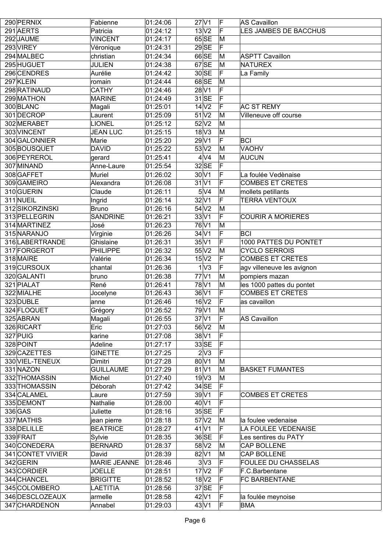| 290 PERNIX        | Fabienne            | 01:24:06               | $27$ $V1$            | F   | AS Cavaillon               |
|-------------------|---------------------|------------------------|----------------------|-----|----------------------------|
|                   |                     |                        |                      |     |                            |
| 291 AERTS         | Patricia            | 01:24:12               | 13 <sub>2</sub>      | IF  | LES JAMBES DE BACCHUS      |
| 292 JAUME         | <b>VINCENT</b>      | 01:24:17               | $65$ SE              | M   |                            |
| 293 VIREY         | Véronique           | 01:24:31               | $29$ SE              | ΙF  |                            |
| 294 MALBEC        | christian           | 01:24:34               | $66$ SE              | M   | <b>ASPTT Cavaillon</b>     |
| 295 HUGUET        | <b>JULIEN</b>       | 01:24:38               | $67$ SE              | M   | <b>NATUREX</b>             |
| 296 CENDRES       | Aurélie             | 01:24:42               | 30 SE                | F   | La Family                  |
| 297 KLEIN         | romain              | 01:24:44               | $68$ SE              | M   |                            |
| 298 RATINAUD      | <b>CATHY</b>        | $\overline{0}$ 1:24:46 | $28\vert\sqrt{1}$    | F   |                            |
| 299 MATHON        | <b>MARINE</b>       | 01:24:49               | $31$ SE              | F   |                            |
| 300 BLANC         | Magali              | 01:25:01               | 14 <sub>V2</sub>     | F   | <b>AC ST REMY</b>          |
| 301 DECROP        | Laurent             | 01:25:09               | 51V2                 | M   | Villeneuve off course      |
| 302 MERABET       | <b>LIONEL</b>       | 01:25:12               | $52$ $V2$            | M   |                            |
| 303 VINCENT       | <b>JEAN LUC</b>     | 01:25:15               | 18 <sup>V</sup> 3    | M   |                            |
| 304 GALONNIER     | Marie               | 01:25:20               | 29V1                 | F   | <b>BCI</b>                 |
| 305BOUSQUET       | <b>DAVID</b>        | 01:25:22               | 53 V2                | M   | <b>VAOHV</b>               |
| 306 PEYREROL      | gerard              | 01:25:41               | $4\overline{\vee}4$  | M   | <b>AUCUN</b>               |
| 307 MINAND        | Anne-Laure          | 01:25:54               | $32$ SE              | F   |                            |
|                   |                     |                        |                      |     |                            |
| 308 GAFFET        | Muriel              | 01:26:02               | $30\vert\mathrm{V}1$ | F   | La foulée Vedènaise        |
| 309 GAMEIRO       | Alexandra           | 01:26:08               | $31$ V1              | F   | <b>COMBES ET CRETES</b>    |
| 310 GUERIN        | Claude              | 01:26:11               | $5\sqrt{4}$          | M   | mollets petillants         |
| 311 NUEIL         | Ingrid              | 01:26:14               | $32\sqrt{1}$         | F   | <b>TERRA VENTOUX</b>       |
| 312 SIKORZINSKI   | <b>Bruno</b>        | 01:26:16               | 54 <sub>V2</sub>     | M   |                            |
| 313 PELLEGRIN     | <b>SANDRINE</b>     | 01:26:21               | 33 V1                | F   | <b>COURIR A MORIERES</b>   |
| 314 MARTINEZ      | José                | 01:26:23               | 76 V1                | M   |                            |
| 315 NARANJO       | Virginie            | 01:26:26               | $34$ V1              | F   | <b>BCI</b>                 |
| 316 LABERTRANDE   | Ghislaine           | 01:26:31               | 35 V1                | F   | 1000 PATTES DU PONTET      |
| 317 FORGEROT      | <b>PHILIPPE</b>     | 01:26:32               | 55 V2                | M   | <b>CYCLO SERROIS</b>       |
| 318 MAIRE         | Valérie             | 01:26:34               | 15 <sub>N2</sub>     | ΙF  | <b>COMBES ET CRETES</b>    |
| 319 CURSOUX       | chantal             | 01:26:36               | 1 <sup>N</sup> 3     | IF  | agv villeneuve les avignon |
| 320 GALANTI       | bruno               | 01:26:38               | $77$ $V1$            | M   | pompiers mazan             |
| 321 PIALAT        | René                | 01:26:41               | 78 V1                | M   | les 1000 pattes du pontet  |
| 322 MIALHE        | Jocelyne            | 01:26:43               | 36 V1                | F   | <b>COMBES ET CRETES</b>    |
| 323DUBLE          | anne                | 01:26:46               | 16 V2                | IF  | as cavaillon               |
| 324 FLOQUET       | Grégory             | 01:26:52               | 79 V1                | M   |                            |
| 325 ABRAN         | Magali              | 01:26:55               | 37 <sup>1</sup>      | IF. | AS Cavaillon               |
| 326 RICART        | Eric                | 01:27:03               | 56 V2                | M   |                            |
|                   |                     |                        |                      | F   |                            |
| 327 PUIG          | karine              | 01:27:08               | 38 <sup>1</sup>      |     |                            |
| 328 POINT         | Adeline             | 01:27:17               | $33$ SE              | F   |                            |
| 329 CAZETTES      | <b>GINETTE</b>      | 01:27:25               | 2 <sup>1</sup>       | F   |                            |
| 330 VIEL-TENEUX   | Dimitri             | 01:27:28               | $80$ V1              | M   |                            |
| 331 NAZON         | <b>GUILLAUME</b>    | 01:27:29               | $81$ V1              | M   | <b>BASKET FUMANTES</b>     |
| 332 THOMASSIN     | Michel              | 01:27:40               | 19V3                 | M   |                            |
| 333 THOMASSIN     | Déborah             | 01:27:42               | $34$ SE              | ΙF  |                            |
| 334 CALAMEL       | Laure               | 01:27:59               | 39V1                 | ΙF  | <b>COMBES ET CRETES</b>    |
| 335 DEMONT        | Nathalie            | 01:28:00               | $40$ V1              | ΙF  |                            |
| 336 GAS           | Juliette            | 01:28:16               | 35 SE                | F   |                            |
| 337 MATHIS        | jean pierre         | 01:28:18               | 57 <sub>N2</sub>     | M   | la foulee vedenaise        |
| 338 DELILLE       | <b>BEATRICE</b>     | 01:28:27               | $41$ V1              | F   | LA FOULEE VEDENAISE        |
| 339 FRAIT         | Sylvie              | 01:28:35               | 36 SE                | F   | Les sentires du PATY       |
| 340 CONEDERA      | <b>BERNARD</b>      | 01:28:37               | 58 <sub>V2</sub>     | M   | CAP BOLLENE                |
| 341 CONTET VIVIER | David               | 01:28:39               | $82$ V1              | M   | CAP BOLLENE                |
| 342 GERIN         | <b>MARIE JEANNE</b> | 01:28:46               | 3 V3                 | F   | <b>FOULEE DU CHASSELAS</b> |
| 343 CORDIER       | <b>JOELLE</b>       | 01:28:51               | 17 <sub>N2</sub>     | IF  | F.C.Barbentane             |
| 344 CHANCEL       | <b>BRIGITTE</b>     | 01:28:52               | 18 <sup>2</sup>      | ΙF  | <b>FC BARBENTANE</b>       |
| 345 COLOMBERO     | LAETITIA            | 01:28:56               | $37$ $SE$            | F   |                            |
|                   |                     |                        |                      | F   |                            |
| 346 DESCLOZEAUX   | armelle             | 01:28:58               | $42$ V1              |     | la foulée meynoise         |
| 347 CHARDENON     | Annabel             | 01:29:03               | 43 V1                | ΙF  | <b>BMA</b>                 |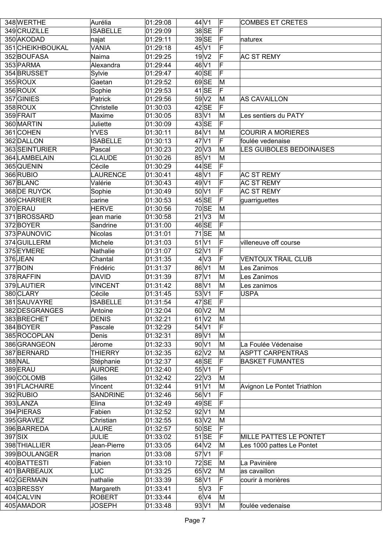| 348 WERTHE       | Aurélia         | 01:29:08              | $44$ V1                    | IF              | <b>COMBES ET CRETES</b>     |
|------------------|-----------------|-----------------------|----------------------------|-----------------|-----------------------------|
| 349 CRUZILLE     | <b>ISABELLE</b> | $\overline{0}1:29:09$ | 38 SE                      | F               |                             |
| 350 AKODAD       | najat           | 01:29:11              | $39$ SE                    | ΙF              | naturex                     |
| 351 CHEIKHBOUKAL | <b>VANIA</b>    | 01:29:18              | $45\vert\sqrt{1}$          | F               |                             |
| 352 BOUFASA      | Naima           | 01:29:25              | 19 <sub>V2</sub>           | F               | <b>AC ST REMY</b>           |
| 353 PARMA        | Alexandra       | 01:29:44              | 46 V1                      | F               |                             |
| 354 BRUSSET      | Sylvie          | 01:29:47              | $40$ SE                    | F               |                             |
| 355 ROUX         | Gaetan          | 01:29:52              | $69$ SE                    | M               |                             |
| 356 ROUX         | Sophie          | 01:29:53              | $41$ SE                    | lF.             |                             |
| 357 GINIES       | Patrick         | 01:29:56              | 59 <sub>1</sub>            | M               | AS CAVAILLON                |
| 358 ROUX         | Christelle      | 01:30:03              | $42$ SE                    | ΙF              |                             |
| 359 FRAIT        | Maxime          | 01:30:05              | 83 V1                      | M               | Les sentiers du PATY        |
| 360 MARTIN       | Juliette        | 01:30:09              | $43$ SE                    | F               |                             |
| 361 COHEN        | <b>YVES</b>     | 01:30:11              | $84\overline{\mathrm{V1}}$ | M               | <b>COURIR A MORIERES</b>    |
| 362 DALLON       | <b>ISABELLE</b> | 01:30:13              | $47$ V1                    | F               | foulée vedenaise            |
| 363 SEINTURIER   | Pascal          | 01:30:23              | 20V3                       | M               | LES GUIBOLES BEDOINAISES    |
| 364 LAMBELAIN    | <b>CLAUDE</b>   | 01:30:26              | 85 V1                      | M               |                             |
| 365 QUENIN       | Cécile          | 01:30:29              | $44$ SE                    | ΙF              |                             |
| 366 RUBIO        | <b>LAURENCE</b> |                       | 48 V1                      | F               |                             |
|                  |                 | 01:30:41              |                            |                 | <b>AC ST REMY</b>           |
| 367 BLANC        | Valérie         | 01:30:43              | $49\overline{\mathrm{V1}}$ | F               | <b>AC ST REMY</b>           |
| 368 DE RUYCK     | Sophie          | 01:30:49              | $50\text{V}1$              | F               | <b>AC ST REMY</b>           |
| 369 CHARRIER     | carine          | 01:30:53              | $45$ SE                    | F               | guarriguettes               |
| 370 ERAU         | <b>HERVE</b>    | 01:30:56              | $70$ SE                    | M               |                             |
| 371BROSSARD      | jean marie      | 01:30:58              | $21\overline{\mathrm{V3}}$ | M               |                             |
| 372BOYER         | Sandrine        | 01:31:00              | 46SE                       | ΙF              |                             |
| 373 PAUNOVIC     | Nicolas         | 01:31:01              | $71$ SE                    | M               |                             |
| 374 GUILLERM     | Michele         | 01:31:03              | $51$ $V1$                  | F               | villeneuve off course       |
| 375 EYMERE       | Nathalie        | 01:31:07              | $52$ $V1$                  | F               |                             |
| 376JEAN          | Chantal         | 01:31:35              | 4 <sup>2</sup>             | F               | <b>VENTOUX TRAIL CLUB</b>   |
| 377 BOIN         | Frédéric        | 01:31:37              | 86 V1                      | M               | Les Zanimos                 |
| 378 RAFFIN       | <b>DAVID</b>    | 01:31:39              | $87$ V1                    | M               | Les Zanimos                 |
| 379 LAUTIER      | <b>VINCENT</b>  | 01:31:42              | 88 V1                      | M               | Les zanimos                 |
| 380 CLARY        | Cécile          | 01:31:45              | $53\overline{\text{V1}}$   | F               | <b>USPA</b>                 |
| 381 SAUVAYRE     | <b>ISABELLE</b> | 01:31:54              | $47$ SE                    | F               |                             |
| 382 DESGRANGES   | Antoine         | 01:32:04              | $60\overline{\mathrm{V2}}$ | $\vert M \vert$ |                             |
| 383 BRECHET      | <b>DENIS</b>    | 01:32:21              | $61$ V2                    | M               |                             |
| 384 BOYER        | Pascale         | 01:32:29              | $54$ V1                    | F               |                             |
| 385 ROCOPLAN     | Denis           | 01:32:31              | 89 V1                      | M               |                             |
| 386 GRANGEON     | Jérome          | 01:32:33              | $90\vert\mathrm{V}1$       | M               | La Foulée Védenaise         |
| 387 BERNARD      | <b>THIERRY</b>  | 01:32:35              | $62\text{V}2$              | M               | <b>ASPTT CARPENTRAS</b>     |
| 388 NAL          | Stéphanie       | 01:32:37              | $48$ SE                    | F               | <b>BASKET FUMANTES</b>      |
| 389 ERAU         | <b>AURORE</b>   | 01:32:40              | 55 V1                      | F               |                             |
| 390 COLOMB       | Gilles          | 01:32:42              | $22\sqrt{3}$               | M               |                             |
| 391 FLACHAIRE    | Vincent         | 01:32:44              | 91 V1                      | M               | Avignon Le Pontet Triathlon |
| 392 RUBIO        | <b>SANDRINE</b> | 01:32:46              | 56 V1                      | F               |                             |
| 393 LANZA        | Elina           | 01:32:49              | $49$ SE                    | ΙF              |                             |
| 394 PIERAS       | Fabien          | 01:32:52              | $92\vert\mathrm{V1}$       | M               |                             |
| 395 GRAVEZ       | Christian       | 01:32:55              | 63 <sub>N2</sub>           | M               |                             |
| 396 BARREDA      | LAURE           | 01:32:57              | 50 SE                      | lF.             |                             |
| $397$ SIX        | <b>JULIE</b>    | $\overline{0}1:33:02$ | $51$ SE                    | ΙF              | MILLE PATTES LE PONTET      |
| 398 THIALLIER    | Jean-Pierre     | 01:33:05              | 64 <sup>2</sup>            | M               | Les 1000 pattes Le Pontet   |
| 399 BOULANGER    |                 | 01:33:08              | $57$ $V1$                  | F               |                             |
|                  | marion          |                       |                            |                 |                             |
| 400 BATTESTI     | Fabien          | 01:33:10              | $72$ SE                    | M               | La Pavinière                |
| 401 BARBEAUX     | LUC             | 01:33:25              | $65\vert\mathrm{V2}$       | M               | as cavaillon                |
| 402 GERMAIN      | nathalie        | 01:33:39              | 58 V1                      | F               | courir à morières           |
| 403BRESSY        | Margareth       | 01:33:41              | 5V3                        | ΙF              |                             |
| 404 CALVIN       | <b>ROBERT</b>   | 01:33:44              | $6\sqrt{4}$                | M               |                             |
| 405 AMADOR       | <b>JOSEPH</b>   | 01:33:48              | 93 V1                      | M               | foulée vedenaise            |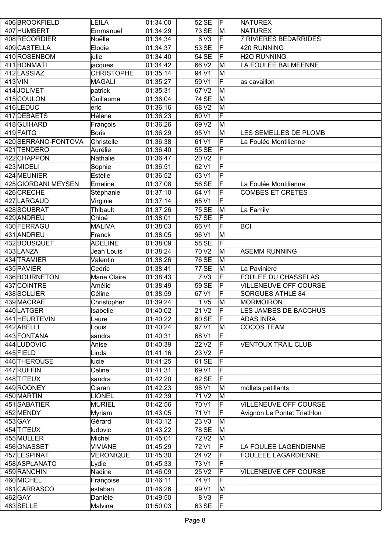|           | 406 BROOKFIELD      | <b>LEILA</b>      | 01:34:00          | $52$ SE                      | ΙF | NATUREX                      |
|-----------|---------------------|-------------------|-------------------|------------------------------|----|------------------------------|
|           | 407 HUMBERT         | Emmanuel          | $\sqrt{0}1:34:29$ | $73$ SE                      | ΙM | NATUREX                      |
|           | 408 RECORDIER       | Noëlle            | 01:34:34          | 6V3                          | F  | <b>7 RIVIERES BEDARRIDES</b> |
|           | 409 CASTELLA        | Elodie            | 01:34:37          | $53$ SE                      | F  | 420 RUNNING                  |
|           | 410 ROSENBOM        | <b>julie</b>      | 01:34:40          | $54$ SE                      | F  | <b>H2O RUNNING</b>           |
|           | 411 BONMATI         | jacques           | 01:34:42          | 66 V <sub>2</sub>            | M  | LA FOULEE BALMEENNE          |
|           | 412 LASSIAZ         | <b>CHRISTOPHE</b> | 01:35:14          | $94$ V1                      | M  |                              |
| $413$ VIN |                     | <b>MAGALI</b>     | 01:35:27          | 59 V1                        | F  | as cavaillon                 |
|           | 414 JOLIVET         | patrick           | 01:35:31          | 67 <sub>N2</sub>             | M  |                              |
|           | 415 COULON          | Guillaume         | 01:36:04          | $74$ SE                      | M  |                              |
|           | 416LEDUC            | $ $ eric          | 01:36:16          | 68 <sup>2</sup>              | M  |                              |
|           | 417 DEBAETS         | Hélène            | 01:36:23          | $60\overline{\mathrm{V1}}$   | F  |                              |
|           |                     |                   |                   |                              | M  |                              |
|           | 418 GUIHARD         | François          | 01:36:26          | 69 <sub>V2</sub>             |    |                              |
|           | 419 FAITG           | Boris             | 01:36:29          | $95\vert\sqrt{1}$            | M  | LES SEMELLES DE PLOMB        |
|           | 420 SERRANO-FONTOVA | Christelle        | 01:36:38          | $61$ V1                      | F  | La Foulée Montilienne        |
|           | 421 TENDERO         | Aurélie           | 01:36:40          | 55 SE                        | F  |                              |
|           | 422 CHAPPON         | Nathalie          | 01:36:47          | $20\overline{\text{V2}}$     | F  |                              |
|           | 423 MICELI          | Sophie            | 01:36:51          | $62$ V1                      |    |                              |
|           | 424 MEUNIER         | Estèlle           | 01:36:52          | 63 V1                        | F  |                              |
|           | 425 GIORDANI MEYSEN | Emeline           | 01:37:08          | 56 SE                        | F  | La Foulée Montilienne        |
|           | 426 CRECHE          | Stéphanie         | 01:37:10          | $64$ V1                      | F  | <b>COMBES ET CRETES</b>      |
|           | 427 LARGAUD         | Virginie          | 01:37:14          | 65 V1                        | F  |                              |
|           | 428 SOUBRAT         | Thibault          | 01:37:26          | $75$ SE                      | M  | La Family                    |
|           | 429 ANDREU          | Chloé             | 01:38:01          | $57$ SE                      | F  |                              |
|           | 430 FERRAGU         | <b>MALIVA</b>     | 01:38:03          | 66 V1                        | F  | <b>BCI</b>                   |
|           | 431 ANDREU          | Franck            | 01:38:05          | 96 V1                        | M  |                              |
|           | 432 BOUSQUET        | <b>ADELINE</b>    | 01:38:09          | 58 SE                        | F  |                              |
|           | 433 LANZA           | Jean Louis        | 01:38:24          | 70V2                         | M  | <b>ASEMM RUNNING</b>         |
|           | 434 TRAMIER         | Valentin          | 01:38:26          | 76SE                         | M  |                              |
|           | 435 PAVIER          | Cedric            | 01:38:41          | $77$ SE                      | M  | La Pavinière                 |
|           | 436 BOURNETON       | Marie Claire      | 01:38:43          | 7 <sup>1</sup>               | F  | <b>FOULEE DU CHASSELAS</b>   |
|           | 437 COINTRE         | Amélie            | 01:38:49          | $59$ SE                      | F  | <b>VILLENEUVE OFF COURSE</b> |
|           | 438 SOLLIER         | Céline            | 01:38:59          | $67$ $V1$                    | F  | <b>SORGUES ATHLE 84</b>      |
|           | 439 MACRAE          | Christopher       | 01:39:24          | 1 <sub>V</sub> 5             | M  | MORMOIRON                    |
|           | 440 LATGER          | Isabelle          | 01:40:02          | $21\overline{\overline{V2}}$ | F  | <b>LES JAMBES DE BACCHUS</b> |
|           | 441 HEURTEVIN       | Laure             | 01:40:22          | 60 SE                        | F  | <b>ADAS INRA</b>             |
|           | 442 ABELLI          | Louis             | 01:40:24          | 97V1                         | M  | <b>COCOS TEAM</b>            |
|           | 443 FONTANA         | sandra            | 01:40:31          | $68$ V1                      | F  |                              |
|           | 444 LUDOVIC         | Anise             | 01:40:39          | 22 V2                        | F  | <b>VENTOUX TRAIL CLUB</b>    |
|           | 445 FIELD           | Linda             | 01:41:16          | 23 V2                        |    |                              |
|           | 446 THEROUSE        | lucie             | 01:41:25          | $61$ SE                      | F  |                              |
|           | 447 RUFFIN          | Celine            | 01:41:31          | 69V1                         | F  |                              |
|           | 448 TITEUX          | sandra            | 01:42:20          | $62$ SE                      | F  |                              |
|           |                     |                   |                   | 98 V1                        |    |                              |
|           | 449 ROONEY          | Ciaran            | 01:42:23          |                              | M  | mollets petillants           |
|           | 450 MARTIN          | <b>LIONEL</b>     | 01:42:39          | $71$ $V2$                    | M  |                              |
|           | 451 SABATIER        | MURIEL            | 01:42:56          | 70 V1                        | F  | <b>VILLENEUVE OFF COURSE</b> |
|           | 452 MENDY           | Myriam            | 01:43:05          | $71$ V1                      | F  | Avignon Le Pontet Triathlon  |
|           | 453 GAY             | Gérard            | 01:43:12          | 23V3                         | M  |                              |
|           | 454 TITEUX          | ludovic           | 01:43:22          | $78$ SE                      | M  |                              |
|           | 455 MULLER          | Michel            | 01:45:01          | $72$ $V2$                    | M  |                              |
|           | 456 GNASSET         | <b>VIVIANE</b>    | 01:45:29          | 72 V1                        | F  | LA FOULEE LAGENDIENNE        |
|           | 457 LESPINAT        | VERONIQUE         | 01:45:30          | 24 <sub>V2</sub>             |    | <b>FOULEEE LAGARDIENNE</b>   |
|           | 458 ASPLANATO       | Lydie             | 01:45:33          | 73 V1                        | F  |                              |
|           | 459 RANCHIN         | Nadine            | 01:46:09          | 25 V2                        | F  | <b>VILLENEUVE OFF COURSE</b> |
|           |                     |                   |                   |                              |    |                              |
|           | 460 MICHEL          | Françoise         | 01:46:11          | 74 V1                        | F  |                              |
|           | 461 CARRASCO        | esteban           | 01:46:26          | 99 V1                        | M  |                              |
|           | $462$ GAY           | Danièle           | 01:49:50          | 8 <sup>1</sup>               | F  |                              |